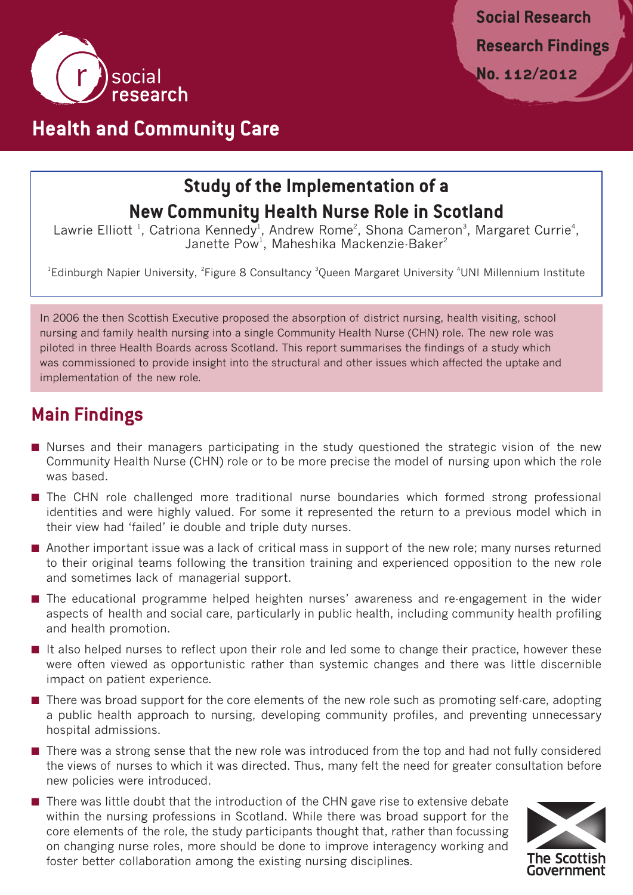

## **Health and Community Care**

# **Study of the Implementation of a New Community Health Nurse Role in Scotland**

Lawrie Elliott<sup>1</sup>, Catriona Kennedy<sup>1</sup>, Andrew Rome<sup>2</sup>, Shona Cameron<sup>3</sup>, Margaret Currie<sup>4</sup>, Janette Pow<sup>1</sup>, Maheshika Mackenzie-Baker $^2$ 

<sup>1</sup>Edinburgh Napier University, <sup>2</sup>Figure 8 Consultancy <sup>3</sup>Queen Margaret University <sup>4</sup>UNI Millennium Institute

In 2006 the then Scottish Executive proposed the absorption of district nursing, health visiting, school nursing and family health nursing into a single Community Health Nurse (CHN) role. The new role was piloted in three Health Boards across Scotland. This report summarises the findings of a study which was commissioned to provide insight into the structural and other issues which affected the uptake and implementation of the new role.

#### **Main Findings**

- Nurses and their managers participating in the study questioned the strategic vision of the new Community Health Nurse (CHN) role or to be more precise the model of nursing upon which the role was based.
- The CHN role challenged more traditional nurse boundaries which formed strong professional identities and were highly valued. For some it represented the return to a previous model which in their view had 'failed' ie double and triple duty nurses.
- Another important issue was a lack of critical mass in support of the new role; many nurses returned to their original teams following the transition training and experienced opposition to the new role and sometimes lack of managerial support.
- The educational programme helped heighten nurses' awareness and re-engagement in the wider aspects of health and social care, particularly in public health, including community health profiling and health promotion.
- It also helped nurses to reflect upon their role and led some to change their practice, however these were often viewed as opportunistic rather than systemic changes and there was little discernible impact on patient experience.
- There was broad support for the core elements of the new role such as promoting self-care, adopting a public health approach to nursing, developing community profiles, and preventing unnecessary hospital admissions.
- There was a strong sense that the new role was introduced from the top and had not fully considered the views of nurses to which it was directed. Thus, many felt the need for greater consultation before new policies were introduced.
- There was little doubt that the introduction of the CHN gave rise to extensive debate within the nursing professions in Scotland. While there was broad support for the core elements of the role, the study participants thought that, rather than focussing on changing nurse roles, more should be done to improve interagency working and foster better collaboration among the existing nursing disciplines.

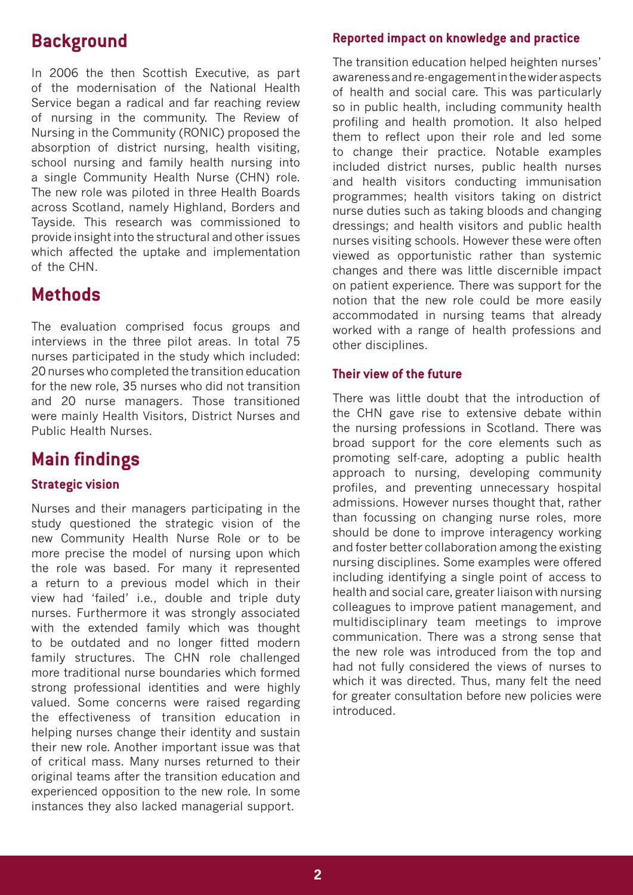### **Background**

In 2006 the then Scottish Executive, as part of the modernisation of the National Health Service began a radical and far reaching review of nursing in the community. The Review of Nursing in the Community (RONIC) proposed the absorption of district nursing, health visiting, school nursing and family health nursing into a single Community Health Nurse (CHN) role. The new role was piloted in three Health Boards across Scotland, namely Highland, Borders and Tayside. This research was commissioned to provide insight into the structural and other issues which affected the uptake and implementation of the CHN.

#### **Methods**

The evaluation comprised focus groups and interviews in the three pilot areas. In total 75 nurses participated in the study which included: 20 nurses who completed the transition education for the new role, 35 nurses who did not transition and 20 nurse managers. Those transitioned were mainly Health Visitors, District Nurses and Public Health Nurses.

## **Main findings**

#### **Strategic vision**

Nurses and their managers participating in the study questioned the strategic vision of the new Community Health Nurse Role or to be more precise the model of nursing upon which the role was based. For many it represented a return to a previous model which in their view had 'failed' i.e., double and triple duty nurses. Furthermore it was strongly associated with the extended family which was thought to be outdated and no longer fitted modern family structures. The CHN role challenged more traditional nurse boundaries which formed strong professional identities and were highly valued. Some concerns were raised regarding the effectiveness of transition education in helping nurses change their identity and sustain their new role. Another important issue was that of critical mass. Many nurses returned to their original teams after the transition education and experienced opposition to the new role. In some instances they also lacked managerial support.

#### **Reported impact on knowledge and practice**

The transition education helped heighten nurses' awareness and re-engagement in the wider aspects of health and social care. This was particularly so in public health, including community health profiling and health promotion. It also helped them to reflect upon their role and led some to change their practice. Notable examples included district nurses, public health nurses and health visitors conducting immunisation programmes; health visitors taking on district nurse duties such as taking bloods and changing dressings; and health visitors and public health nurses visiting schools. However these were often viewed as opportunistic rather than systemic changes and there was little discernible impact on patient experience. There was support for the notion that the new role could be more easily accommodated in nursing teams that already worked with a range of health professions and other disciplines.

#### **Their view of the future**

There was little doubt that the introduction of the CHN gave rise to extensive debate within the nursing professions in Scotland. There was broad support for the core elements such as promoting self-care, adopting a public health approach to nursing, developing community profiles, and preventing unnecessary hospital admissions. However nurses thought that, rather than focussing on changing nurse roles, more should be done to improve interagency working and foster better collaboration among the existing nursing disciplines. Some examples were offered including identifying a single point of access to health and social care, greater liaison with nursing colleagues to improve patient management, and multidisciplinary team meetings to improve communication. There was a strong sense that the new role was introduced from the top and had not fully considered the views of nurses to which it was directed. Thus, many felt the need for greater consultation before new policies were introduced.